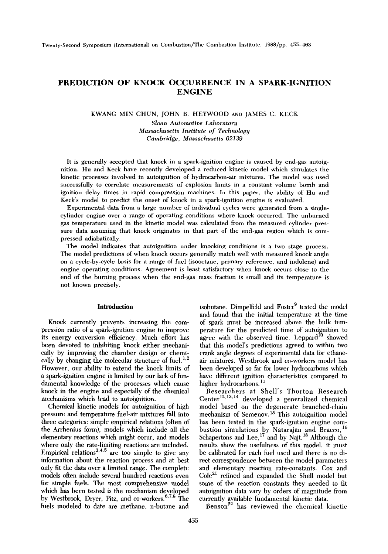## **PREDICTION OF KNOCK OCCURRENCE IN A** SPARK-IGNITION ENGINE

KWANG MIN CHUN, JOHN B. HEYWOOD AND JAMES C. KECK

*Sloan Automotive Laboratory Massachusetts Institute of Technology Cambridge, Massachusetts 02139* 

It is generally accepted that knock in a spark-ignition engine is caused by end-gas autoignition. Hu and Keck have recently developed a reduced kinetic model which simulates the kinetic processes involved in autoignition of hydrocarbon-air mixtures. The model was used successfully to correlate measurements of explosion limits in a constant volume bomb and ignition delay times in rapid compression machines. In this paper, the ability of Hu and Keck's model to predict the onset of knock in a spark-ignition engine is evaluated.

Experimental data from a large number of individual cycles were generated from a singlecylinder engine over a range of operating conditions where knock occurred. The unburned gas temperature used in the kinetic model was calculated from the measured cylinder pressure data assuming that knock originates in that part of the end-gas region which is compressed adiabatically.

The model indicates that autoignition under knocking conditions is a two stage process. The model predictions of when knock occurs generally match well with measured knock angle on a eycle-by-eycle basis for a range of fuel (isooctane, primary reference, and indolene) and engine operating conditions. Agreement is least satisfactory when knock occurs close to the end of the burning process when the end-gas mass fraction is small and its temperature is not known precisely.

#### **Introduction**

Knock currently prevents increasing the compression ratio of a spark-ignition engine to improve its energy conversion efficiency. Much effort has been devoted to inhibiting knock either mechanically by improving the chamber design or chemically by changing the molecular structure of fuel.<sup>1,2</sup> However, our ability to extend the knock limits of a spark-ignition engine is limited by our lack of fundamental knowledge of the processes which cause knock in the engine and especially of the chemical mechanisms which lead to autoignition.

Chemical kinetic models for autoignition of high pressure and temperature fuel-air mixtures fall into three categories: simple empirical relations (often of the Arrhenius form), models which include all the elementary reactions which might occur, and models where only the rate-limiting reactions are included. Empirical relations  $3,4,5$  are too simple to give any information about the reaction process and at best only fit the data over a limited range. The complete models often include several hundred reactions even for simple fuels. The most comprehensive model which has been tested is the mechanism developed by Westbrook, Dryer, Pitz, and co-workers.<sup>6,7,8</sup> The fuels modeled to date are methane, n-butane and

isobutane. Dimpelfeld and Foster<sup>9</sup> tested the model and found that the initial temperature at the time of spark must be increased above the bulk temperature for the predicted time of autoignition to agree with the observed time. Leppard<sup>10</sup> showed that this model's predictions agreed to within two crank angle degrees of experimental data for ethaneair mixtures. Westbrook and co-workers model has been developed so far for lower hydrocarbons which have different ignition characteristics compared to higher hydrocarbons.<sup>11</sup>

Researchers at Shell's Thorton Research Center<sup>12,13,14</sup> developed a generalized chemical model based on the degenerate branched-chain mechanism of Semenov.<sup>15</sup> This autoignition model has been tested in the spark-ignition engine combustion simulations by Natarajan and Bracco, 16 Schapertons and Lee,<sup>17</sup> and by Najt.<sup>18</sup> Although the results show the usefulness of this model, it must be calibrated for each fuel used and there is no direct correspondence between the model parameters and elementary reaction rate-constants. Cox and Cole<sup>21</sup> refined and expanded the Shell model but some of the reaction constants they needed to fit autoignition data vary by orders of magnitude from currently available fundamental kinetic data.

 $Benson<sup>22</sup>$  has reviewed the chemical kinetic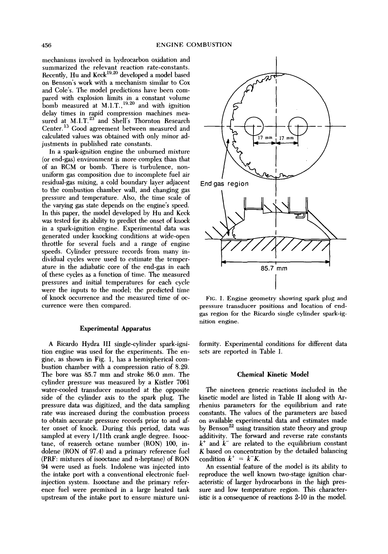mechanisms involved in hydrocarbon oxidation and summarized the relevant reaction rate-constants. Recently, Hu and Keck<sup>19,20</sup> developed a model based on Benson's work with a mechanism similar to Cox and Cole's. The model predictions have been compared with explosion limits in a constant volume bomb measured at M.I.T.,  $^{19,20}$  and with ignition delay times in rapid compression machines measured at M.I.T.<sup>23</sup> and Shell's Thornton Research Center. 13 Good agreement between measured and calculated values was obtained with only minor adjustments in published rate constants.

In a spark-ignition engine the unburned mixture (or end-gas) environment is more complex than that of an RCM or bomb. There is turbulence, nonuniform gas composition due to incomplete fuel air residual-gas mixing, a cold boundary layer adjacent to the combustion chamber wall, and changing gas pressure and temperature. Also, the time scale of the varying gas state depends on the engine's speed. In this paper, the model developed by Hu and Keck was tested for its ability to predict the onset of knock in a spark-ignition engine. Experimental data was generated under knocking conditions at wide-open throttle for several fuels and a range of engine speeds. Cylinder pressure records from many individual cycles were used to estimate the temperature in the adiabatic core of the end-gas in each of these cycles as a function of time. The measured pressures and initial temperatures for each cycle were the inputs to the model; the predicted time of knock occurrence and the measured time of occurrence were then compared.

#### **Experimental Apparatus**

A Ricardo Hydra Ill single-cylinder spark-ignition engine was used for the experiments. The engine, as shown in Fig. 1, has a hemispherical combustion chamber with a compression ratio of 8.29. The bore was 85.7 mm and stroke 86.0 mm. The cylinder pressure was measured by a Kistler 7061 water-cooled transducer mounted at the opposite side of the cylinder axis to the spark plug. The pressure data was digitized, and the data sampling rate was increased during the combustion process to obtain accurate pressure records prior to and after onset of knock. During this period, data was sampled at every  $1/11$ th crank angle degree. Isooctane, of reaserch octane number (RON) 100, indolene (RON of 97.4) and a primary reference fuel **(PRF:** mixtures of isooctane and n-heptane) of RON 94 were used as fuels. Indolene was injected into the intake port with a conventional electronic fuelinjection system. Isooctane and the primary reference fuel were premixed in a large heated tank upstream of the intake port to ensure mixture uni-



FIG. 1. Engine geometry showing spark plug and pressure transducer positions and location of endgas region for the Ricardo single cylinder spark-ignition engine.

formity. Experimental conditions for different data sets are reported in Table I.

## **Chemical Kinetic Model**

The nineteen generic reactions included in the kinetic model are listed in Table II along with Arrhenius parameters for the equilibrium and rate constants. The values of the parameters are based on available experimental data and estimates made by Benson<sup>22</sup> using transition state theory and group additivity. The forward and reverse rate constants  $k^+$  and  $k^-$  are related to the equilibrium constant K based on concentration by the detailed balancing condition  $k^+ = k^-K$ .

An essential feature of the model is its ability to reproduce the well known two-stage ignition characteristic of larger hydrocarbons in the high pressure and low temperature region. This characteristic is a consequence of reactions 2-10 in the model.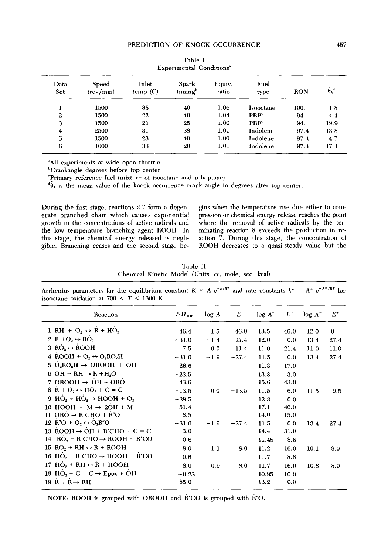| <b>Experimental Conditions<sup>®</sup></b> |                    |                     |                              |                 |                  |            |                                    |  |  |  |  |
|--------------------------------------------|--------------------|---------------------|------------------------------|-----------------|------------------|------------|------------------------------------|--|--|--|--|
| Data<br>Set                                | Speed<br>(rev/min) | Inlet<br>temp $(C)$ | Spark<br>timing <sup>b</sup> | Equiv.<br>ratio | Fuel<br>type     | <b>RON</b> | $\bar{\pmb{\theta}}_k^{-\text{d}}$ |  |  |  |  |
|                                            | 1500               | 88                  | 40                           | 1.06            | Isooctane        | 100.       | 1.8                                |  |  |  |  |
| $\mathbf{2}$                               | 1500               | 22                  | 40                           | 1.04            | PRF <sup>c</sup> | 94.        | 4.4                                |  |  |  |  |
| 3                                          | 1500               | 21                  | 25                           | 1.00            | PRF <sup>c</sup> | 94.        | 19.9                               |  |  |  |  |
| 4                                          | 2500               | 31                  | 38                           | 1.01            | Indolene         | 97.4       | 13.8                               |  |  |  |  |
| 5                                          | 1500               | 23                  | 40                           | 1.00            | Indolene         | 97.4       | 4.7                                |  |  |  |  |
| 6                                          | 1000               | 33                  | 20                           | 1.01            | Indolene         | 97.4       | 17.4                               |  |  |  |  |

| Table I                              |  |  |  |  |  |  |  |  |
|--------------------------------------|--|--|--|--|--|--|--|--|
| Experimental Conditions <sup>®</sup> |  |  |  |  |  |  |  |  |

<sup>a</sup>All experiments at wide open throttle.

bCrankangle degrees before top center.

cPrimary reference fuel (mixture of isooctane and n-heptane).

 ${}^d\hat{\theta}_k$  is the mean value of the knock occurrence crank angle in degrees after top center.

During the first stage, reactions 2-7 form a degenerate branched chain which causes exponential growth in the concentrations of active radicals and the low temperature branching agent ROOH. In this stage, the chemical energy released is negligible. Branching ceases and the second stage begins when the temperature rise due either to compression or chemical energy release reaches the point where the removal of active radicals by the terminating reaction 8 exceeds the production in reaction 7. During this stage, the concentration of ROOH decreases to a quasi-steady value but the

Table II Chemical Kinetic Model (Units: cc, mole, sec, kcal)

|  | Arrhenius parameters for the equilibrium constant $K = A e^{-E/RT}$ and rate constants $k^2 = A^2 e^{-E^2/RT}$ for |  |  |  |  |  |  |  |
|--|--------------------------------------------------------------------------------------------------------------------|--|--|--|--|--|--|--|
|  | isoletane oxidation at $700 < T < 1300$ K                                                                          |  |  |  |  |  |  |  |

| Reaction                                                                     | $\triangle H_{300^{\circ}}$ | log A  | E       | $log A^+$ | $E^+$ | $log A^-$ | $E^+$        |
|------------------------------------------------------------------------------|-----------------------------|--------|---------|-----------|-------|-----------|--------------|
| 1 RH + $O_2 \leftrightarrow R + HO_2$                                        | 46.4                        | 1.5    | 46.0    | 13.5      | 46.0  | 12.0      | $\mathbf{0}$ |
| 2 R + $O_2 \leftrightarrow$ RO <sub>2</sub>                                  | $-31.0$                     | $-1.4$ | $-27.4$ | 12.0      | 0.0   | 13.4      | 27.4         |
| 3 RO <sub>2</sub> $\leftrightarrow$ ROOH                                     | 7.5                         | 0.0    | 11.4    | 11.0      | 21.4  | 11.0      | 11.0         |
| 4 ROOH + $O_2 \leftrightarrow O_2RO_2H$                                      | $-31.0$                     | $-1.9$ | $-27.4$ | 11.5      | 0.0   | 13.4      | 27.4         |
| $5 \text{ O}_2\text{RO}_2\text{H} \rightarrow \text{OROOH} + \text{OH}$      | $-26.6$                     |        |         | 11.3      | 17.0  |           |              |
| 6 OH + $RH \rightarrow R + H2O$                                              | $-23.5$                     |        |         | 13.3      | 3.0   |           |              |
| $7 \text{ OROOH} \rightarrow \text{OH} + \text{ORO}$                         | 43.6                        |        |         | 15.6      | 43.0  |           |              |
| $8 \text{ R} + \text{O}_2 \leftrightarrow \text{HO}_2 + \text{C} = \text{C}$ | $-13.5$                     | 0.0    | $-13.5$ | 11.5      | 6.0   | 11.5      | 19.5         |
| 9 HO <sub>2</sub> + HO <sub>2</sub> $\rightarrow$ HOOH + O <sub>2</sub>      | $-38.5$                     |        |         | 12.3      | 0.0   |           |              |
| 10 HOOH + $M \rightarrow 2OH + M$                                            | 51.4                        |        |         | 17.1      | 46.0  |           |              |
| 11 ORO $\rightarrow$ R'CHO + R"O                                             | 8.5                         |        |         | 14.0      | 15.0  |           |              |
| 12 R'O + O <sub>2</sub> $\leftrightarrow$ O <sub>2</sub> R <sup>"</sup> O    | $-31.0$                     | $-1.9$ | $-27.4$ | 11.5      | 0.0   | 13.4      | 27.4         |
| 13 ROOH $\rightarrow$ OH + R'CHO + C = C                                     | $-3.0$                      |        |         | 14.4      | 31.0  |           |              |
| 14. $RO_2 + R'CHO \rightarrow ROOH + R'CO$                                   | $-0.6$                      |        |         | 11.45     | 8.6   |           |              |
| 15 RO <sub>2</sub> + RH $\leftrightarrow$ R + ROOH                           | 8.0                         | 1.1    | 8.0     | 11.2      | 16.0  | 10.1      | 8.0          |
| 16 $HO_2$ + R'CHO $\rightarrow$ HOOH + R'CO                                  | $-0.6$                      |        |         | 11.7      | 8.6   |           |              |
| 17 $HO_2$ + RH $\leftrightarrow$ R + HOOH                                    | 8.0                         | 0.9    | 8.0     | 11.7      | 16.0  | 10.8      | 8.0          |
| 18 HO <sub>2</sub> + C = C $\rightarrow$ Epox + OH                           | $-0.23$                     |        |         | 10.95     | 10.0  |           |              |
| 19 $R + R \rightarrow RH$                                                    | $-85.0$                     |        |         | 13.2      | 0.0   |           |              |
|                                                                              |                             |        |         |           |       |           |              |

NOTE: ROOH is grouped with OROOH and  $R'CO$  is grouped with  $R''O$ .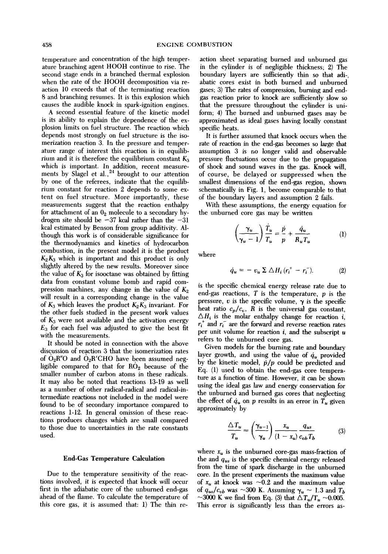temperature and concentration of the high temperature branching agent HOOH continue to rise. The second stage ends in a branched thermal explosion when the rate of the HOOH decomposition via reaction 10 exceeds that of the terminating reaction 8 and branching resumes. It is this explosion which causes the audible knock in spark-ignition engines.

A second essential feature of the kinetic model is its ability to explain the dependence of the explosion limits on fuel structure. The reaction which depends most strongly on fuel structure is the isomerization reaction 3. In the pressure and temperature range of interest this reaction is in equilibrium and it is therefore the equilibrium constant  $K_3$ which is important. In addition, recent measurements by Slagel et al.,  $24$  brought to our attention by one of the referees, indicate that the equilibrium constant for reaction 2 depends to some extent on fuel structure. More importantly, these measurements suggest that the reaction enthalpy for attachment of an  $0_2$  molecule to a secondary hydrogen site should be  $-37$  kcal rather than the  $-31$ kcal estimated by Benson from group additivity. Although this work is of considerable significance for the thermodynamics and kinetics of hydrocarbon combustion, in the present model it is the product  $K_2K_3$  which is important and this product is only slightly altered by the new results. Moreover since the value of  $K_3$  for isooctane was obtained by fitting data from constant volume bomb and rapid compression machines, any change in the value of  $K_2$ will result in a corresponding change in the value of  $K_3$  which leaves the product  $K_2K_3$  invariant. For the other fuels studied in the present work values of  $K_3$  were not available and the activation energy  $E_3$  for each fuel was adjusted to give the best fit with the measurements.

It should be noted in connection with the above discussion of reaction 3 that the isomerization rates of  $O_2R''O$  and  $O_2R'CHO$  have been assumed negligible compared to that for  $RO<sub>2</sub>$  because of the smaller number of carbon atoms in these radicals. It may also be noted that reactions 13-19 as well as a number of other radical-radical and radical-intermediate reactions not included in the model were found to be of secondary importance compared to reactions 1-12. In general omission of these reactions produces changes which are small compared to those due to uncertainties in the rate constants used.

### **End-Gas Temperature Calculation**

Due to the temperature sensitivity of the reactions involved, it is expected that knock will occur first in the adiabatic core of the unburned end-gas ahead of the flame. To calculate the temperature of this core gas, it is assumed that: 1) The thin reaction sheet separating burned and unburned gas in the cylinder is of negligible thickness; 2) The boundary layers are sufficiently thin so that adi-, abatic cores exist in both burned and unburned gases; 3) The rates of compression, burning and endgas reaction prior to knock are sufficiently slow so that the pressure throughout the cylinder is uniform; 4) The burned and unburned gases may be approximated as ideal gases having locally constant specific heats.

It is further assumed that knock occurs when the rate of reaction in the end-gas becomes so large that assumption 3 is no longer valid and observable pressure fluctuations occur due to the propagation of shock and sound waves in the gas. Knock will, of course, be delayed or suppressed when the smallest dimensions of the end-gas region, shown schematically in Fig. 1, become comparable to that of the boundary layers and assumption 2 fails.

With these assumptions, the energy equation for the unburned core gas may be written

$$
\left(\frac{\gamma_u}{\gamma_u - 1}\right) \frac{\dot{T}_u}{T_u} = \frac{\dot{p}}{p} + \frac{\dot{q}_u}{R_u T_u} \tag{1}
$$

where

$$
\dot{q}_u = -v_u \sum \Delta H_i (r_i^+ - r_i^-). \tag{2}
$$

is the specific chemical energy release rate due to end-gas reactions,  $T$  is the temperature,  $p$  is the pressure,  $v$  is the specific volume,  $\gamma$  is the specific heat ratio  $c_p/c_v$ , R is the universal gas constant,  $\triangle H_i$  is the molar enthalpy change for reaction i,  $r_i^+$  and  $r_i^-$  are the forward and reverse reaction rates per unit volume for reaction  $i$ , and the subscript  $u$ refers to the unburned core gas.

Given models for the burning rate and boundary layer growth, and using the value of  $q<sub>u</sub>$  provided by the kinetic model,  $\dot{p}/p$  could be predicted and Eq. (1) used to obtain the end-gas core temperature as a function of time. However, it can be shown using the ideal gas law and energy conservation for the unburned and burned gas cores that neglecting the effect of  $\dot{q}_u$  on p results in an error in  $T_u$  given approximately by

$$
\frac{\Delta T_u}{T_u} \approx \left(\frac{\gamma_{u-1}}{\gamma_u}\right) \frac{x_u}{(1-x_u)} \frac{q_{us}}{c_{cb}T_b} \tag{3}
$$

where  $x_u$  is the unburned core-gas mass-fraction of the and  $q_{us}$  is the specific chemical energy released from the time of spark discharge in the unburned core. In the present experiments the maximum value of  $x_u$  at knock was  $\sim 0.2$  and the maximum value of  $q_{us}/c_{cb}$  was ~300 K. Assuming  $\gamma_u \sim 1.3$  and  $T_b$  $\sim$ 3000 K we find from Eq. (3) that  $\Delta T_u/T_u \sim 0.005$ . This error is significantly less than the errors as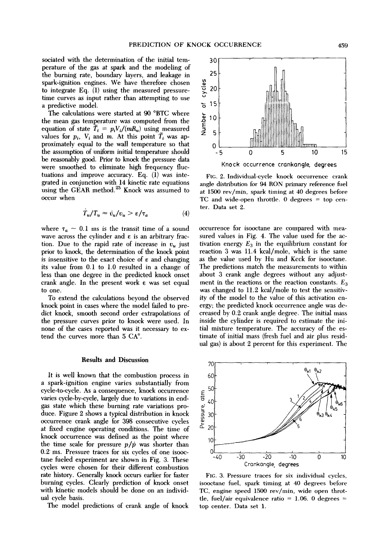sociated with the determination of the initial temperature of the gas at spark and the modeling of the burning rate, boundary layers, and leakage in spark-ignition engines. We have therefore chosen to integrate Eq. (1) using the measured pressuretime curves as input rather than attempting to use a predictive model.

The calculations were started at 90 °BTC where the mean gas temperature was computed from the equation of state  $\overline{T}_i = p_i V_i/(mR_u)$  using measured values for  $p_i$ ,  $V_i$  and m. At this point  $\widetilde{T}_i$  was approximately equal to the wall temperature so that the assumption of uniform initial temperature should be reasonably good. Prior to knock the pressure data were smoothed to eliminate high frequency fluctuations and improve accuracy. Eq. (1) was integrated in conjunction with 14 kinetic rate equations using the GEAR method.<sup>25</sup> Knock was assumed to occur when

$$
T_u/T_u \approx \dot{v}_u/v_u > \varepsilon/\tau_a \tag{4}
$$

where  $\tau_a \sim 0.1$  ms is the transit time of a sound wave across the cylinder and  $\varepsilon$  is an arbitrary fraction. Due to the rapid rate of increase in  $v_u$  just prior to knock, the determination of the knock point is insensitive to the exact choice of  $\varepsilon$  and changing its value from 0.1 to 1.0 resulted in a change of less than one degree in the predicted knock onset crank angle. In the present work e was set equal to one.

To extend the calculations beyond the observed knock point in cases where the model failed to predict knock, smooth second order extrapolations of the pressure curves prior to knock were used. In none of the cases reported was it necessary to extend the curves more than 5 CA°.

#### Results and Discussion

It is well known that the combustion process in a spark-ignition engine varies substantially from cycle-to-cycle. As a consequence, knock occurrence varies cycle-by-cycle, largely due to variations in endgas state which these burning rate variations produce. Figure 2 shows a typical distribution in knock occurrence crank angle for 398 consecutive cycles at fixed engine operating conditions. The time of knock occurrence was defined as the point where the time scale for pressure  $p/p$  was shorter than 0.2 ms. Pressure traces for six cycles of one isooctane fueled experiment are shown in Fig. 3. These cycles were chosen for their different combustion rate history. Generally knock occurs earlier for faster burning cycles. Clearly prediction of knock onset with kinetic models should be done on an individual cycle basis.

The model predictions of crank angle of knock



FiG. 2. Individual-cycle knock occurrence crank angle distribution for 94 RON primary reference fuel at 1500 rev/min, spark timing at 40 degrees before TC and wide-open throttle. 0 degrees  $=$  top center. Data set 2.

occurrence for isooctane arc compared with measured values in Fig. 4. The value used for the activation energy  $E_3$  in the equilibrium constant for reaction 3 was 11.4 kcal/mole, which is the same as the value used by Hu and Keck for isooctane, The predictions match the measurements to within about 3 crank angle degrees without any adjustment in the reactions or the reaction constants.  $E_3$ was changed to 11.2 keal/mole to test the sensitivity of the model to the value of this activation energy; the predicted knock occurrence angle was decreased by 0.2 crank angle degree. The initial mass inside the cylinder is required to estimate the initial mixture temperature. The accuracy of the estimate of initial mass (fresh fuel and air plus residual gas) is about 2 percent for this experiment. The



FIG. 3. Pressure traces for six individual cycles, isooctane fuel, spark timing at 40 degrees before TC, engine speed 1500 rev/min, wide open throttle, fuel/air equivalence ratio  $= 1.06$ . 0 degrees  $=$ top center. Data set 1.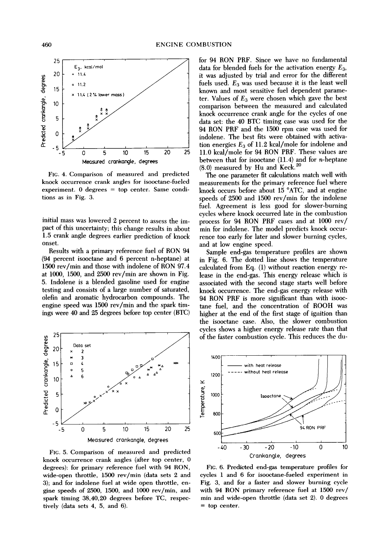

FIG. 4. Comparison of measured and predicted knock occurrence crank angles for isooetane-fueled experiment. 0 degrees = top center. Same conditions as in Fig. 3.

initial mass was lowered 2 percent to assess the impact of this uncertainty; this change results in about 1.5 crank angle degrees earlier prediction of knock onset.

Results with a primary reference fuel of RON 94 (94 percent isooctane and 6 percent n-heptane) at 1500 rev/min and those with indolene of RON 97.4 at 1000, 1500, and 2500 rev/min are shown in Fig. 5. Indolene is a blended gasoline used for engine testing and consists of a large number of saturated, olefin and aromatic hydrocarbon compounds. The engine speed was 1500 rev/min and the spark timings were 40 and 25 degrees before top center (BTC)



FIG. 5. Comparison of measured and predicted knock occurrence crank angles (after top center, 0 degrees): for primary reference fuel with 94 RON, wide-open throttle, 1500 rev/min (data sets 2 and 3); and for indolene fuel at wide open throttle, engine speeds of 2500, 1500, and 1000 rev/min, and spark timing 38,40,20 degrees before TC, respectively (data sets 4, 5, and 6).

for 94 RON PRF. Since we have no fundamental data for blended fuels for the activation energy  $E_3$ , it was adjusted by trial and error for the different fuels used.  $E_3$  was used because it is the least well known and most sensitive fuel dependent parameter. Values of  $E_3$  were chosen which gave the best comparison between the measured and calculated knock occurrence crank angle for the cycles of one data set: the 40 BTC timing case was used for the 94 RON PRF and the 1500 rpm case was used for indolene. The best fits were obtained with activation energies  $E_3$  of 11.2 kcal/mole for indolene and 11.0 kcal/mole for 94 RON PRF. These values are between that for isooctane  $(11.4)$  and for *n*-heptane (8.0) measured by Hu and Keck.<sup>20</sup>

The one parameter fit calculations match well with measurements for the primary reference fuel where knock occurs before about 15 °ATC, and at engine speeds of 2500 and 1500 rev/min for the indolene fuel. Agreement is less good for slower-burning cycles where knock occurred late in the combustion process for 94 RON PRF cases and at 1000 rev/ min for indolene. The model predicts knock occurrence too early for later and slower burning cycles, and at low engine speed.

Sample end-gas temperature profiles are shown in Fig. 6. The dotted line shows the temperature calculated from Eq. (1) without reaction energy release in the end-gas. This energy release which is associated with the second stage starts well before knock occurrence. The end-gas energy release with 94 RON PRF is more significant than with isooctane fuel, and the concentration of ROOH was higher at the end of the first stage of ignition than the isooctane case. Also, the slower combustion cycles shows a higher energy release rate than that of the faster combustion cycle. This reduces the du-



FIG. 6. Predicted end-gas temperature profiles for cycles 1 and 6 for isooctane-fueled experiment in Fig. 3, and for a faster and slower burning cycle with 94 RON primary reference fuel at 1500 rev/ min and wide-open throttle (data set 2). 0 degrees = top center.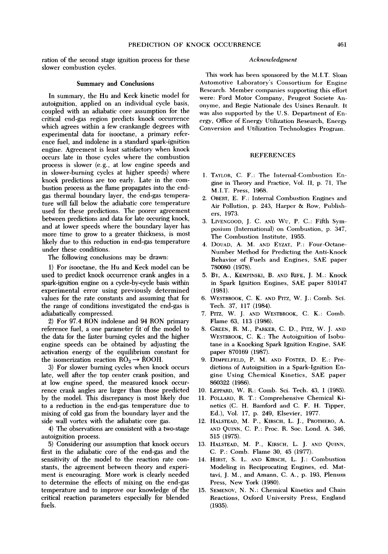#### **Summary and Conclusions**

In summary, the Hu and Keck kinetic model for autoignition, applied on an individual cycle basis, coupled with an adiabatic core assumption for the critical end-gas region predicts knock occurrence which agrees within a few crankangle degrees with experimental data for isooctane, a primary reference fuel, and indolene in a standard spark-ignition engine. Agreement is least satisfactory when knock occurs late in those cycles where the combustion process is slower (e.g., at low engine speeds and in slower-burning cycles at higher speeds) where knock predictions are too early. Late in the combustion process as the flame propagates into the endgas thermal boundary layer, the end-gas temperature will fall below the adiabatic core temperature used for these predictions. The poorer agreement between predictions and data for late occuring knock, and at lower speeds where the boundary layer has more time to grow to a greater thickness, is most likely due to this reduction in end-gas temperature under these conditions.

The following conclusions may be drawn:

1) For isooctane, the Hu and Keck model can be used to predict knock occurrence crank angles in a spark-ignition engine on a cycle-by-cycle basis within experimental error using previously determined values for the rate constants and assuming that for the range of conditions investigated the end-gas is adiabatically compressed.

2) For 97.4 RON indolene and 94 RON primary reference fuel, a one parameter fit of the model to the data for the faster burning cycles and the higher engine speeds can be obtained by adjusting the activation energy of the equilibrium constant for the isomerization reaction  $\overrightarrow{RO} \rightarrow \overrightarrow{ROOH}$ .

3) For slower burning cycles when knock occurs late, well after the top center crank position, and at low engine speed, the measured knock occurrence crank angles are larger than those predicted by the model. This discrepancy is most likely due to a reduction in the end-gas temperature due to mixing of cold gas from the boundary layer and the side wall vortex with the adiabatic core gas.

4) The observations are consistent with a two-stage autoignition process.

5) Considering our assumption that knock occurs first in the adiabatic core of the end-gas and the sensitivity of the model to the reaction rate constants, the agreement between theory and experiment is encouraging. More work is clearly needed to determine the effects of mixing on the end-gas temperature and to improve our knowledge of the critical reaction parameters especially for blended fuels.

#### *Acknowledgment*

This work has been sponsored by the M.I.T. Sloan Automotive Laboratory's Consortium for Engine Research. Member companies supporting this effort were: Ford Motor Company, Peugeot Societe Anonyme, and Regie Nationale des Usines Renault. It was also supported by the U.S. Department of Energy, Office of Energy Utilization Research, Energy Conversion and Utilization Technologies Program.

#### **REFERENCES**

- 1. TAYLOR, C. F.: The Internal-Combustion Engine in Theory and Practice, Vol. II, p. 71, The M.I.T. Press, 1968.
- 2. OBERT, E. F.: Internal Combustion Engines and Air Pollution, p. 243, Harper & Row, Publishers, 1973.
- 3. LWENGOOD, J. C. AND WU, P. C.: Fifth Symposium (International) on Combustion, p. 347, The Combustion Institute, 1955.
- 4. DOUAD, A. M. AND EYZAT, P.: Four-Octane-Number Method for Predicting the Anti-Knock Behavior of Fuels and Engines, SAE paper 780080 (1978).
- 5. BY, A., KEMPINSKI, B. AND RIFE, J. M.: Knock in Spark Ignition Engines, SAE paper 810147 (1981).
- 6. WESTRROOK, C. K. ANn PITZ, W. J.: Comb. Sci. Tech. 37, 117 (1984).
- 7. PITZ, W. J. AND WESTBROOK, C. K.: Comb. Flame 63, 113 (1986).
- 8. GREEN, R. M., PARKER, C. U., PITZ, W. J. AND WESTBROOK, C. K.: The Autoignition of Isobutane in a Knocking Spark Ignition Engine, SAE paper 870169 (1987).
- 9. DIMPELFELD, P. M. AND FOSTER, D. E.: Predictions of Autoignition in a Spark-Ignition Engine Using Chemical Kinetics, SAE paper 860322 (1986).
- 10. LEPPARD, W. R.: Comb. Sci. Tech. 43, 1 (1985).
- 11. POLLARD, R. T.: Comprehensive Chemical Kinetics (C. H. Bamford and C. F. H. Tipper, Ed.), Vol. 17, p. 249, Elsevier, 1977.
- 12. HALSTEAD, M. P., KIRSCH, L. J., PROTHERO, A. AND QUINN, C. P.: Proc. R. Soc. Lond. A. 346, 515 (1975).
- 13. HALSTEAD, M. P., KIRSCH, L. J. AND QUINN, C. P.: Comb. Flame 30, 45 (1977).
- 14. HIRST, S. L. AND KIRSCH, L. J.: Combustion Modeling in Reciprocating Engines, ed. Mattavi, J. M., and Amann, C. A., p. 193, Plenum Press, New York (1980).
- 15. SEMENOV, N. N.: Chemical Kinetics and Chain Reactions, Oxford University Press, England (1935).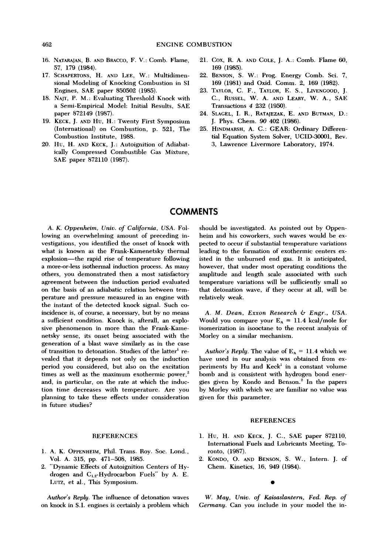- 16. NATARAJAN, B. AND BRACCO, F. V.: Comb. Flame, 57, 179 (1984).
- 17. SCHAPERTONS, **H.** AND LEE, W.: Multidimensional Modeling of Knocking Combustion in SI Engines, SAC paper 850502 (1985).
- 18. NAJT, P. M.: Evaluating Threshold Knock with a Semi-Empirical Model: Initial Results, SAE paper 872149 (1987).
- 19. KECK, J. AND HU, H.: Twenty First Symposium (International) on Combustion, p. 521, The Combustion Institute, 1988.
- 20. Hu, H. AND KECK, J.: Autoignition of Adiabatically Compressed Combustible Gas Mixture, SAC paper 872110 (1987).
- 21. Cox, R. A. AND COLE, J. A.: Comb. Flame 60, 169 (1985).
- 22. BEnSON, S. W.: Prog. Energy Comb. Sci. 7, 169 (1981) and Oxid. Comm. 2, 169 (1982).
- 23. TAYLOR, C. F., TAYLOR, E. S., LIVENGOOD, J. C., RUSSEL, W. A. AND LEARY, W. A., SAE Transactions 4 232 (1950).
- 24. SLAGEL, I. R., RATAJEZAK, E. AND BUTMAN, D.: J. Phys. Chem. 90 402 (1986).
- 25. HINDMARSH, A. C.: GEAR: Ordinary Differential Equation System Solver, UCID-30001, Rev. 3, Lawrence Livermore Laboratory, 1974.

# **COMMENTS**

*A. K. Oppenheim, Univ. of California, USA.* Following an overwhelming amount of preceding investigations, you identified the onset of knock with what is known as the Frank-Kamenetsky thermal explosion-the rapid rise of temperature following a more-or-less isothermal induction process. As many others, you demonstrated then a most satisfactory agreement between the induction period evaluated on the basis of an adiabatic relation between temperature and pressure measured in an engine with the instant of the detected knock signal. Such coincidence is, of course, a necessary, hut by no means a sufficient condition. Knock is, afterall, an explosive phenomenon in more than the Frank-Kamenetsky sense, its onset being associated with the generation of a blast wave similarly as in the case of transition to detonation. Studies of the latter<sup>1</sup> revealed that it depends not only on the induction period you considered, but also on the excitation times as well as the maximum exothermic power, $<sup>2</sup>$ </sup> and, in particular, on the rate at which the induction time decreases with temperature. Are you planning to take these effects under consideration in future studies?

## **REFERENCES**

- 1. A. K. OPPENHEIM, Phil. Trans. Roy. Soc. Lond., Vol. A. 315, pp. 471-508, 1985.
- 2. "Dynamic Effects of Autoignition Centers of Hydrogen and  $C_{1,2}$ -Hydrocarbon Fuels" by A. E. LUTZ, et al., This Symposium.

on knock in S.I. engines is certainly a problem which *Germany.* Can you include in your model the in-

should be investigated. As pointed out by Oppenheim and his coworkers, such waves would be expected to occur if substantial temperature variations leading to the formation of exothermie centers existed in the unburned end gas. It is anticipated, however, that under most operating conditions the amplitude and length scale associated with such temperature variations will be sufficiently small so that detonation wave, if they occur at all, will be relatively weak.

*A. M. Dean, Exxon Research & Engr., USA.*  Would you compare your  $E_A = 11.4$  kcal/mole for isomerization in isooctane to the recent analysis of Morley on a similar mechanism.

*Author's Reply.* The value of  $E_A = 11.4$  which we have used in our analysis was obtained from experiments by Hu and  $Keck<sup>1</sup>$  in a constant volume bomb and is consistent with hydrogen bond energies given by Kondo and Benson.<sup>2</sup> In the papers by Morley with which we are familiar no value was given for this parameter.

#### REFERENCES

- 1. Hu, H. AND KECK, J. C., SAE paper 872110, International Fuels and Lubricants Meeting, Toronto, (1987).
- 2. KONDO, O. AND BENSON, S. W., Intern. J. of Chem. Kinetics, 16, 949 (1984).

*Author's Reply. The* influence of detonation waves *W. May, Univ. of Kaisaslantern, Fed. Rep. of*